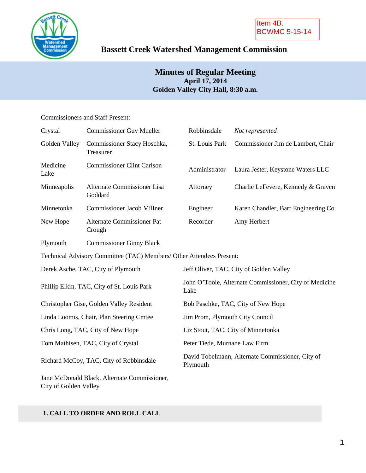

# **Bassett Creek Watershed Management Commission**

# **Minutes of Regular Meeting April 17, 2014 Golden Valley City Hall, 8:30 a.m.**

### Commissioners and Staff Present:

| Crystal                                    | <b>Commissioner Guy Mueller</b>                                      | Robbinsdale                                                    | Not represented                      |  |
|--------------------------------------------|----------------------------------------------------------------------|----------------------------------------------------------------|--------------------------------------|--|
| Golden Valley                              | Commissioner Stacy Hoschka,<br>Treasurer                             | St. Louis Park                                                 | Commissioner Jim de Lambert, Chair   |  |
| Medicine<br>Lake                           | <b>Commissioner Clint Carlson</b>                                    | Administrator                                                  | Laura Jester, Keystone Waters LLC    |  |
| Minneapolis                                | Alternate Commissioner Lisa<br>Goddard                               | Attorney                                                       | Charlie LeFevere, Kennedy & Graven   |  |
| Minnetonka                                 | <b>Commissioner Jacob Millner</b>                                    | Engineer                                                       | Karen Chandler, Barr Engineering Co. |  |
| New Hope                                   | <b>Alternate Commissioner Pat</b><br>Crough                          | Recorder                                                       | Amy Herbert                          |  |
| Plymouth                                   | <b>Commissioner Ginny Black</b>                                      |                                                                |                                      |  |
|                                            | Technical Advisory Committee (TAC) Members/ Other Attendees Present: |                                                                |                                      |  |
| Derek Asche, TAC, City of Plymouth         |                                                                      | Jeff Oliver, TAC, City of Golden Valley                        |                                      |  |
| Phillip Elkin, TAC, City of St. Louis Park |                                                                      | John O'Toole, Alternate Commissioner, City of Medicine<br>Lake |                                      |  |
| Christopher Gise, Golden Valley Resident   |                                                                      | Bob Paschke, TAC, City of New Hope                             |                                      |  |
| Linda Loomis, Chair, Plan Steering Cmtee   |                                                                      | Jim Prom, Plymouth City Council                                |                                      |  |
| Chris Long, TAC, City of New Hope          |                                                                      | Liz Stout, TAC, City of Minnetonka                             |                                      |  |
| Tom Mathisen, TAC, City of Crystal         |                                                                      | Peter Tiede, Murnane Law Firm                                  |                                      |  |
| Richard McCoy, TAC, City of Robbinsdale    |                                                                      | David Tobelmann, Alternate Commissioner, City of<br>Plymouth   |                                      |  |
| City of Golden Valley                      | Jane McDonald Black, Alternate Commissioner,                         |                                                                |                                      |  |

### **1. CALL TO ORDER AND ROLL CALL**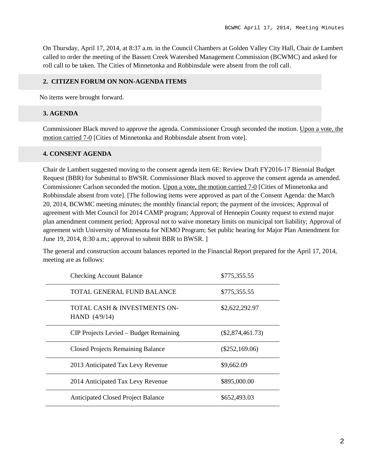On Thursday, April 17, 2014, at 8:37 a.m. in the Council Chambers at Golden Valley City Hall, Chair de Lambert called to order the meeting of the Bassett Creek Watershed Management Commission (BCWMC) and asked for roll call to be taken. The Cities of Minnetonka and Robbinsdale were absent from the roll call.

#### **2. CITIZEN FORUM ON NON-AGENDA ITEMS**

No items were brought forward.

#### **3. AGENDA**

Commissioner Black moved to approve the agenda. Commissioner Crough seconded the motion. Upon a vote, the motion carried 7-0 [Cities of Minnetonka and Robbinsdale absent from vote].

#### **4. CONSENT AGENDA**

Chair de Lambert suggested moving to the consent agenda item 6E: Review Draft FY2016-17 Biennial Budget Request (BBR) for Submittal to BWSR. Commissioner Black moved to approve the consent agenda as amended. Commissioner Carlson seconded the motion. Upon a vote, the motion carried 7-0 [Cities of Minnetonka and Robbinsdale absent from vote]. [The following items were approved as part of the Consent Agenda: the March 20, 2014, BCWMC meeting minutes; the monthly financial report; the payment of the invoices; Approval of agreement with Met Council for 2014 CAMP program; Approval of Hennepin County request to extend major plan amendment comment period; Approval not to waive monetary limits on municipal tort liability; Approval of agreement with University of Minnesota for NEMO Program; Set public hearing for Major Plan Amendment for June 19, 2014, 8:30 a.m.; approval to submit BBR to BWSR. ]

The general and construction account balances reported in the Financial Report prepared for the April 17, 2014, meeting are as follows:

| <b>Checking Account Balance</b>                 | \$775,355.55       |
|-------------------------------------------------|--------------------|
| TOTAL GENERAL FUND BALANCE                      | \$775,355.55       |
| TOTAL CASH & INVESTMENTS ON-<br>HAND $(4/9/14)$ | \$2,622,292.97     |
| CIP Projects Levied – Budget Remaining          | $(\$2,874,461.73)$ |
| <b>Closed Projects Remaining Balance</b>        | $(\$252,169.06)$   |
| 2013 Anticipated Tax Levy Revenue               | \$9,662.09         |
| 2014 Anticipated Tax Levy Revenue               | \$895,000.00       |
| <b>Anticipated Closed Project Balance</b>       | \$652,493.03       |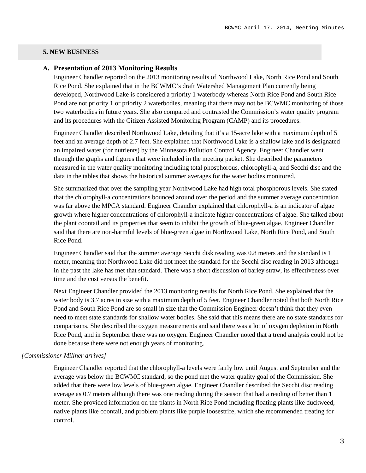#### **5. NEW BUSINESS**

#### **A. Presentation of 2013 Monitoring Results**

Engineer Chandler reported on the 2013 monitoring results of Northwood Lake, North Rice Pond and South Rice Pond. She explained that in the BCWMC's draft Watershed Management Plan currently being developed, Northwood Lake is considered a priority 1 waterbody whereas North Rice Pond and South Rice Pond are not priority 1 or priority 2 waterbodies, meaning that there may not be BCWMC monitoring of those two waterbodies in future years. She also compared and contrasted the Commission's water quality program and its procedures with the Citizen Assisted Monitoring Program (CAMP) and its procedures.

Engineer Chandler described Northwood Lake, detailing that it's a 15-acre lake with a maximum depth of 5 feet and an average depth of 2.7 feet. She explained that Northwood Lake is a shallow lake and is designated an impaired water (for nutrients) by the Minnesota Pollution Control Agency. Engineer Chandler went through the graphs and figures that were included in the meeting packet. She described the parameters measured in the water quality monitoring including total phosphorous, chlorophyll-a, and Secchi disc and the data in the tables that shows the historical summer averages for the water bodies monitored.

She summarized that over the sampling year Northwood Lake had high total phosphorous levels. She stated that the chlorophyll-a concentrations bounced around over the period and the summer average concentration was far above the MPCA standard. Engineer Chandler explained that chlorophyll-a is an indicator of algae growth where higher concentrations of chlorophyll-a indicate higher concentrations of algae. She talked about the plant coontail and its properties that seem to inhibit the growth of blue-green algae. Engineer Chandler said that there are non-harmful levels of blue-green algae in Northwood Lake, North Rice Pond, and South Rice Pond.

Engineer Chandler said that the summer average Secchi disk reading was 0.8 meters and the standard is 1 meter, meaning that Northwood Lake did not meet the standard for the Secchi disc reading in 2013 although in the past the lake has met that standard. There was a short discussion of barley straw, its effectiveness over time and the cost versus the benefit.

Next Engineer Chandler provided the 2013 monitoring results for North Rice Pond. She explained that the water body is 3.7 acres in size with a maximum depth of 5 feet. Engineer Chandler noted that both North Rice Pond and South Rice Pond are so small in size that the Commission Engineer doesn't think that they even need to meet state standards for shallow water bodies. She said that this means there are no state standards for comparisons. She described the oxygen measurements and said there was a lot of oxygen depletion in North Rice Pond, and in September there was no oxygen. Engineer Chandler noted that a trend analysis could not be done because there were not enough years of monitoring.

#### *[Commissioner Millner arrives]*

Engineer Chandler reported that the chlorophyll-a levels were fairly low until August and September and the average was below the BCWMC standard, so the pond met the water quality goal of the Commission. She added that there were low levels of blue-green algae. Engineer Chandler described the Secchi disc reading average as 0.7 meters although there was one reading during the season that had a reading of better than 1 meter. She provided information on the plants in North Rice Pond including floating plants like duckweed, native plants like coontail, and problem plants like purple loosestrife, which she recommended treating for control.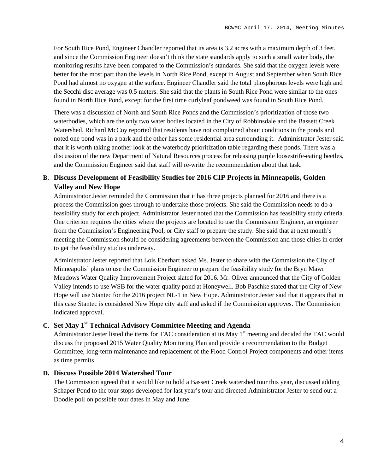For South Rice Pond, Engineer Chandler reported that its area is 3.2 acres with a maximum depth of 3 feet, and since the Commission Engineer doesn't think the state standards apply to such a small water body, the monitoring results have been compared to the Commission's standards. She said that the oxygen levels were better for the most part than the levels in North Rice Pond, except in August and September when South Rice Pond had almost no oxygen at the surface. Engineer Chandler said the total phosphorous levels were high and the Secchi disc average was 0.5 meters. She said that the plants in South Rice Pond were similar to the ones found in North Rice Pond, except for the first time curlyleaf pondweed was found in South Rice Pond.

There was a discussion of North and South Rice Ponds and the Commission's prioritization of those two waterbodies, which are the only two water bodies located in the City of Robbinsdale and the Bassett Creek Watershed. Richard McCoy reported that residents have not complained about conditions in the ponds and noted one pond was in a park and the other has some residential area surrounding it. Administrator Jester said that it is worth taking another look at the waterbody prioritization table regarding these ponds. There was a discussion of the new Department of Natural Resources process for releasing purple loosestrife-eating beetles, and the Commission Engineer said that staff will re-write the recommendation about that task.

# **B. Discuss Development of Feasibility Studies for 2016 CIP Projects in Minneapolis, Golden Valley and New Hope**

Administrator Jester reminded the Commission that it has three projects planned for 2016 and there is a process the Commission goes through to undertake those projects. She said the Commission needs to do a feasibility study for each project. Administrator Jester noted that the Commission has feasibility study criteria. One criterion requires the cities where the projects are located to use the Commission Engineer, an engineer from the Commission's Engineering Pool, or City staff to prepare the study. She said that at next month's meeting the Commission should be considering agreements between the Commission and those cities in order to get the feasibility studies underway.

Administrator Jester reported that Lois Eberhart asked Ms. Jester to share with the Commission the City of Minneapolis' plans to use the Commission Engineer to prepare the feasibility study for the Bryn Mawr Meadows Water Quality Improvement Project slated for 2016. Mr. Oliver announced that the City of Golden Valley intends to use WSB for the water quality pond at Honeywell. Bob Paschke stated that the City of New Hope will use Stantec for the 2016 project NL-1 in New Hope. Administrator Jester said that it appears that in this case Stantec is considered New Hope city staff and asked if the Commission approves. The Commission indicated approval.

# **C. Set May 1st Technical Advisory Committee Meeting and Agenda**

Administrator Jester listed the items for TAC consideration at its May 1<sup>st</sup> meeting and decided the TAC would discuss the proposed 2015 Water Quality Monitoring Plan and provide a recommendation to the Budget Committee, long-term maintenance and replacement of the Flood Control Project components and other items as time permits.

### **D. Discuss Possible 2014 Watershed Tour**

The Commission agreed that it would like to hold a Bassett Creek watershed tour this year, discussed adding Schaper Pond to the tour stops developed for last year's tour and directed Administrator Jester to send out a Doodle poll on possible tour dates in May and June.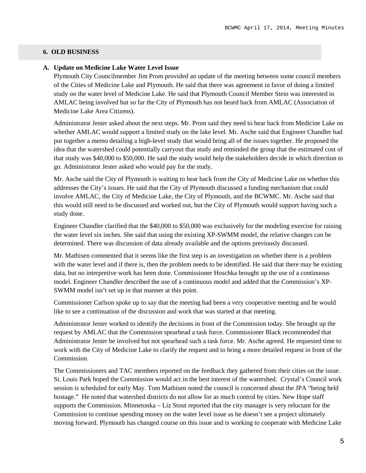#### **6. OLD BUSINESS**

#### **A. Update on Medicine Lake Water Level Issue**

Plymouth City Councilmember Jim Prom provided an update of the meeting between some council members of the Cities of Medicine Lake and Plymouth. He said that there was agreement in favor of doing a limited study on the water level of Medicine Lake. He said that Plymouth Council Member Stein was interested in AMLAC being involved but so far the City of Plymouth has not heard back from AMLAC (Association of Medicine Lake Area Citizens).

Administrator Jester asked about the next steps. Mr. Prom said they need to hear back from Medicine Lake on whether AMLAC would support a limited study on the lake level. Mr. Asche said that Engineer Chandler had put together a memo detailing a high-level study that would bring all of the issues together. He proposed the idea that the watershed could potentially carryout that study and reminded the group that the estimated cost of that study was \$40,000 to \$50,000. He said the study would help the stakeholders decide in which direction to go. Administrator Jester asked who would pay for the study.

Mr. Asche said the City of Plymouth is waiting to hear back from the City of Medicine Lake on whether this addresses the City's issues. He said that the City of Plymouth discussed a funding mechanism that could involve AMLAC, the City of Medicine Lake, the City of Plymouth, and the BCWMC. Mr. Asche said that this would still need to be discussed and worked out, but the City of Plymouth would support having such a study done.

Engineer Chandler clarified that the \$40,000 to \$50,000 was exclusively for the modeling exercise for raising the water level six inches. She said that using the existing XP-SWMM model, the relative changes can be determined. There was discussion of data already available and the options previously discussed.

Mr. Mathisen commented that it seems like the first step is an investigation on whether there is a problem with the water level and if there is, then the problem needs to be identified. He said that there may be existing data, but no interpretive work has been done. Commissioner Hoschka brought up the use of a continuous model. Engineer Chandler described the use of a continuous model and added that the Commission's XP-SWMM model isn't set up in that manner at this point.

Commissioner Carlson spoke up to say that the meeting had been a very cooperative meeting and he would like to see a continuation of the discussion and work that was started at that meeting.

Administrator Jester worked to identify the decisions in front of the Commission today. She brought up the request by AMLAC that the Commission spearhead a task force. Commissioner Black recommended that Administrator Jester be involved but not spearhead such a task force. Mr. Asche agreed. He requested time to work with the City of Medicine Lake to clarify the request and to bring a more detailed request in front of the Commission.

The Commissioners and TAC members reported on the feedback they gathered from their cities on the issue. St. Louis Park hoped the Commission would act in the best interest of the watershed. Crystal's Council work session is scheduled for early May. Tom Mathisen noted the council is concerned about the JPA "being held hostage." He noted that watershed districts do not allow for as much control by cities. New Hope staff supports the Commission. Minnetonka – Liz Stout reported that the city manager is very reluctant for the Commission to continue spending money on the water level issue as he doesn't see a project ultimately moving forward. Plymouth has changed course on this issue and is working to cooperate with Medicine Lake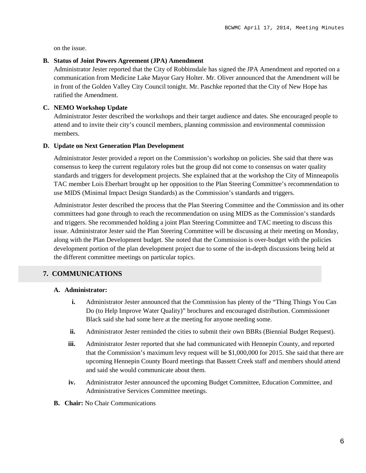on the issue.

#### **B. Status of Joint Powers Agreement (JPA) Amendment**

Administrator Jester reported that the City of Robbinsdale has signed the JPA Amendment and reported on a communication from Medicine Lake Mayor Gary Holter. Mr. Oliver announced that the Amendment will be in front of the Golden Valley City Council tonight. Mr. Paschke reported that the City of New Hope has ratified the Amendment.

#### **C. NEMO Workshop Update**

Administrator Jester described the workshops and their target audience and dates. She encouraged people to attend and to invite their city's council members, planning commission and environmental commission members.

#### **D. Update on Next Generation Plan Development**

Administrator Jester provided a report on the Commission's workshop on policies. She said that there was consensus to keep the current regulatory roles but the group did not come to consensus on water quality standards and triggers for development projects. She explained that at the workshop the City of Minneapolis TAC member Lois Eberhart brought up her opposition to the Plan Steering Committee's recommendation to use MIDS (Minimal Impact Design Standards) as the Commission's standards and triggers.

Administrator Jester described the process that the Plan Steering Committee and the Commission and its other committees had gone through to reach the recommendation on using MIDS as the Commission's standards and triggers. She recommended holding a joint Plan Steering Committee and TAC meeting to discuss this issue. Administrator Jester said the Plan Steering Committee will be discussing at their meeting on Monday, along with the Plan Development budget. She noted that the Commission is over-budget with the policies development portion of the plan development project due to some of the in-depth discussions being held at the different committee meetings on particular topics.

### **7. COMMUNICATIONS**

### **A. Administrator:**

- **i.** Administrator Jester announced that the Commission has plenty of the "Thing Things You Can Do (to Help Improve Water Quality)" brochures and encouraged distribution. Commissioner Black said she had some here at the meeting for anyone needing some.
- **ii.** Administrator Jester reminded the cities to submit their own BBRs (Biennial Budget Request).
- **iii.** Administrator Jester reported that she had communicated with Hennepin County, and reported that the Commission's maximum levy request will be \$1,000,000 for 2015. She said that there are upcoming Hennepin County Board meetings that Bassett Creek staff and members should attend and said she would communicate about them.
- **iv.** Administrator Jester announced the upcoming Budget Committee, Education Committee, and Administrative Services Committee meetings.
- **B. Chair:** No Chair Communications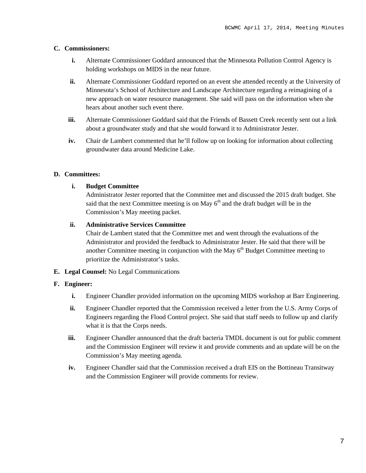#### **C. Commissioners:**

- **i.** Alternate Commissioner Goddard announced that the Minnesota Pollution Control Agency is holding workshops on MIDS in the near future.
- **ii.** Alternate Commissioner Goddard reported on an event she attended recently at the University of Minnesota's School of Architecture and Landscape Architecture regarding a reimagining of a new approach on water resource management. She said will pass on the information when she hears about another such event there.
- **iii.** Alternate Commissioner Goddard said that the Friends of Bassett Creek recently sent out a link about a groundwater study and that she would forward it to Administrator Jester.
- **iv.** Chair de Lambert commented that he'll follow up on looking for information about collecting groundwater data around Medicine Lake.

#### **D. Committees:**

#### **i. Budget Committee**

Administrator Jester reported that the Committee met and discussed the 2015 draft budget. She said that the next Committee meeting is on May  $6<sup>th</sup>$  and the draft budget will be in the Commission's May meeting packet.

#### **ii. Administrative Services Committee**

Chair de Lambert stated that the Committee met and went through the evaluations of the Administrator and provided the feedback to Administrator Jester. He said that there will be another Committee meeting in conjunction with the May  $6<sup>th</sup>$  Budget Committee meeting to prioritize the Administrator's tasks.

**E. Legal Counsel:** No Legal Communications

#### **F. Engineer:**

- **i.** Engineer Chandler provided information on the upcoming MIDS workshop at Barr Engineering.
- **ii.** Engineer Chandler reported that the Commission received a letter from the U.S. Army Corps of Engineers regarding the Flood Control project. She said that staff needs to follow up and clarify what it is that the Corps needs.
- **iii.** Engineer Chandler announced that the draft bacteria TMDL document is out for public comment and the Commission Engineer will review it and provide comments and an update will be on the Commission's May meeting agenda.
- **iv.** Engineer Chandler said that the Commission received a draft EIS on the Bottineau Transitway and the Commission Engineer will provide comments for review.